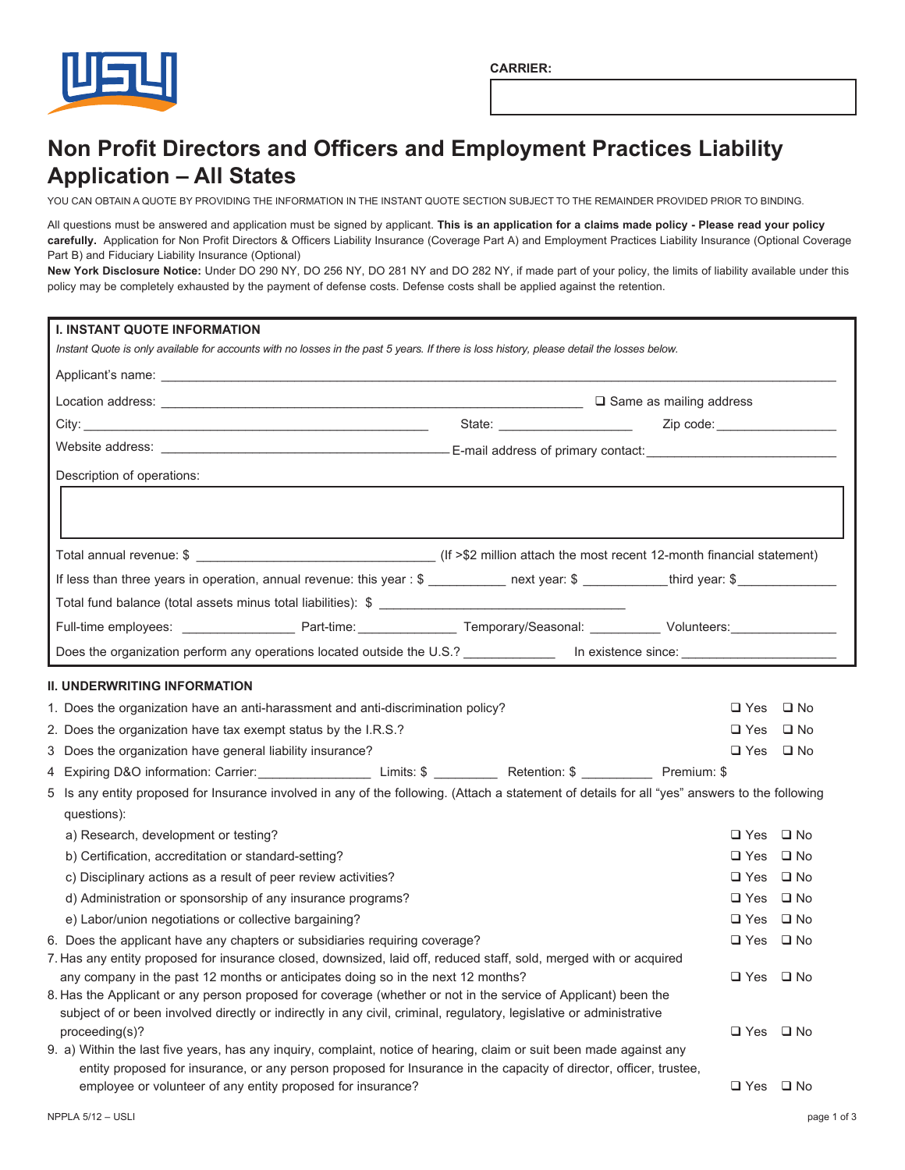

## **Non Profit Directors and Officers and Employment Practices Liability Application - All States**

YOU CAN OBTAIN A QUOTE BY PROVIDING THE INFORMATION IN THE INSTANT QUOTE SECTION SUBJECT TO THE REMAINDER PROVIDED PRIOR TO BINDING.

All questions must be answered and application must be signed by applicant. This is an application for a claims made policy - Please read your policy carefully. Application for Non Profit Directors & Officers Liability Insurance (Coverage Part A) and Employment Practices Liability Insurance (Optional Coverage Part B) and Fiduciary Liability Insurance (Optional)

New York Disclosure Notice: Under DO 290 NY, DO 256 NY, DO 281 NY and DO 282 NY, if made part of your policy, the limits of liability available under this policy may be completely exhausted by the payment of defense costs. Defense costs shall be applied against the retention.

| <b>I. INSTANT QUOTE INFORMATION</b><br>Instant Quote is only available for accounts with no losses in the past 5 years. If there is loss history, please detail the losses below.                  |  |                      |  |
|----------------------------------------------------------------------------------------------------------------------------------------------------------------------------------------------------|--|----------------------|--|
|                                                                                                                                                                                                    |  |                      |  |
|                                                                                                                                                                                                    |  |                      |  |
|                                                                                                                                                                                                    |  |                      |  |
|                                                                                                                                                                                                    |  |                      |  |
| Description of operations:                                                                                                                                                                         |  |                      |  |
|                                                                                                                                                                                                    |  |                      |  |
|                                                                                                                                                                                                    |  |                      |  |
| If less than three years in operation, annual revenue: this year : \$ ___________ next year: \$ __________third year: \$ _________________                                                         |  |                      |  |
|                                                                                                                                                                                                    |  |                      |  |
|                                                                                                                                                                                                    |  |                      |  |
| Does the organization perform any operations located outside the U.S.? _____________ In existence since: ______________________________                                                            |  |                      |  |
| <b>II. UNDERWRITING INFORMATION</b>                                                                                                                                                                |  |                      |  |
| 1. Does the organization have an anti-harassment and anti-discrimination policy?                                                                                                                   |  | $\Box$ Yes $\Box$ No |  |
| 2. Does the organization have tax exempt status by the I.R.S.?                                                                                                                                     |  | $\Box$ Yes $\Box$ No |  |
| 3 Does the organization have general liability insurance?                                                                                                                                          |  | $\Box$ Yes $\Box$ No |  |
|                                                                                                                                                                                                    |  |                      |  |
| 5 Is any entity proposed for Insurance involved in any of the following. (Attach a statement of details for all "yes" answers to the following<br>questions):                                      |  |                      |  |
| a) Research, development or testing?                                                                                                                                                               |  | $\Box$ Yes $\Box$ No |  |
| b) Certification, accreditation or standard-setting?                                                                                                                                               |  | $\Box$ Yes $\Box$ No |  |
| c) Disciplinary actions as a result of peer review activities?                                                                                                                                     |  | $\Box$ Yes $\Box$ No |  |
| d) Administration or sponsorship of any insurance programs?                                                                                                                                        |  | $\Box$ Yes $\Box$ No |  |
| e) Labor/union negotiations or collective bargaining?                                                                                                                                              |  | $\Box$ Yes $\Box$ No |  |
| 6. Does the applicant have any chapters or subsidiaries requiring coverage?                                                                                                                        |  | $\Box$ Yes $\Box$ No |  |
| 7. Has any entity proposed for insurance closed, downsized, laid off, reduced staff, sold, merged with or acquired                                                                                 |  |                      |  |
| any company in the past 12 months or anticipates doing so in the next 12 months?<br>8. Has the Applicant or any person proposed for coverage (whether or not in the service of Applicant) been the |  | $\Box$ Yes $\Box$ No |  |
| subject of or been involved directly or indirectly in any civil, criminal, regulatory, legislative or administrative                                                                               |  |                      |  |
| proceeding(s)?                                                                                                                                                                                     |  | $\Box$ Yes $\Box$ No |  |
| 9. a) Within the last five years, has any inquiry, complaint, notice of hearing, claim or suit been made against any                                                                               |  |                      |  |
| entity proposed for insurance, or any person proposed for Insurance in the capacity of director, officer, trustee,                                                                                 |  |                      |  |
| employee or volunteer of any entity proposed for insurance?                                                                                                                                        |  | $\Box$ Yes $\Box$ No |  |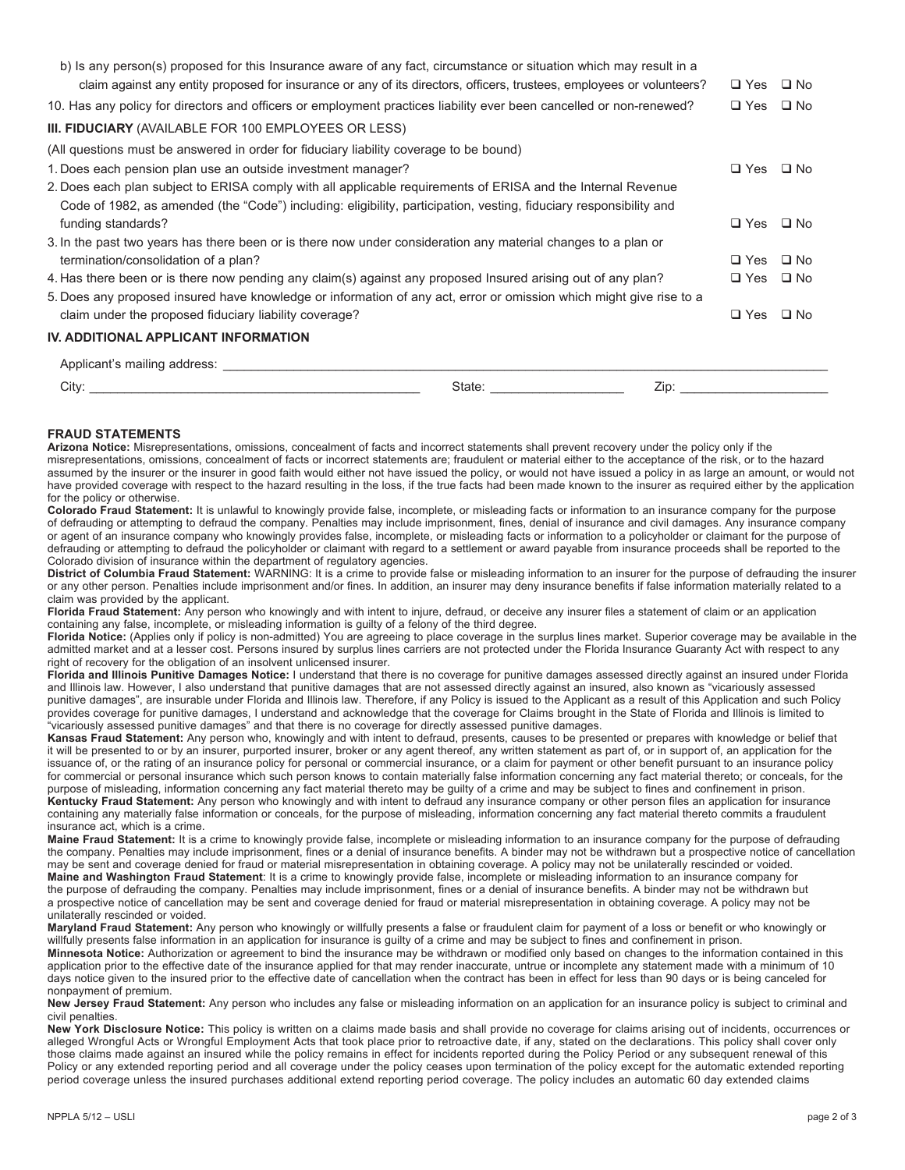| claim against any entity proposed for insurance or any of its directors, officers, trustees, employees or volunteers?<br>10. Has any policy for directors and officers or employment practices liability ever been cancelled or non-renewed? |                   | $\Box$ Yes $\Box$ No |              |  |
|----------------------------------------------------------------------------------------------------------------------------------------------------------------------------------------------------------------------------------------------|-------------------|----------------------|--------------|--|
|                                                                                                                                                                                                                                              |                   |                      |              |  |
| <b>III. FIDUCIARY</b> (AVAILABLE FOR 100 EMPLOYEES OR LESS)                                                                                                                                                                                  |                   |                      |              |  |
| (All questions must be answered in order for fiduciary liability coverage to be bound)                                                                                                                                                       |                   |                      |              |  |
| 1. Does each pension plan use an outside investment manager?                                                                                                                                                                                 |                   | $\square$ Yes        | $\square$ No |  |
| 2. Does each plan subject to ERISA comply with all applicable requirements of ERISA and the Internal Revenue                                                                                                                                 |                   |                      |              |  |
| Code of 1982, as amended (the "Code") including: eligibility, participation, vesting, fiduciary responsibility and                                                                                                                           |                   |                      |              |  |
| funding standards?                                                                                                                                                                                                                           |                   | $\square$ Yes        | $\square$ No |  |
| 3. In the past two years has there been or is there now under consideration any material changes to a plan or                                                                                                                                |                   |                      |              |  |
| termination/consolidation of a plan?                                                                                                                                                                                                         |                   | $\square$ Yes        | $\square$ No |  |
| 4. Has there been or is there now pending any claim(s) against any proposed Insured arising out of any plan?                                                                                                                                 |                   | $\Box$ Yes $\Box$ No |              |  |
| 5. Does any proposed insured have knowledge or information of any act, error or omission which might give rise to a                                                                                                                          |                   |                      |              |  |
| claim under the proposed fiduciary liability coverage?                                                                                                                                                                                       |                   | $\square$ Yes        | $\square$ No |  |
| IV. ADDITIONAL APPLICANT INFORMATION                                                                                                                                                                                                         |                   |                      |              |  |
| Applicant's mailing address:                                                                                                                                                                                                                 |                   |                      |              |  |
| $\bigcap_{i=1}^{n}$                                                                                                                                                                                                                          | $C_{total}$<br>7: |                      |              |  |

| .utv | State | ∠ın<br>-- |  |
|------|-------|-----------|--|
|      |       |           |  |

## **FRAUD STATEMENTS**

Arizona Notice: Misrepresentations, omissions, concealment of facts and incorrect statements shall prevent recovery under the policy only if the misrepresentations, omissions, concealment of facts or incorrect statements are; fraudulent or material either to the acceptance of the risk, or to the hazard assumed by the insurer or the insurer in good faith would either not have issued the policy, or would not have issued a policy in as large an amount, or would not have provided coverage with respect to the hazard resulting in the loss, if the true facts had been made known to the insurer as required either by the application for the policy or otherwise.

Colorado Fraud Statement: It is unlawful to knowingly provide false, incomplete, or misleading facts or information to an insurance company for the purpose of defrauding or attempting to defraud the company. Penalties may include imprisonment, fines, denial of insurance and civil damages. Any insurance company or agent of an insurance company who knowingly provides false, incomplete, or misleading facts or information to a policyholder or claimant for the purpose of defrauding or attempting to defraud the policyholder or claimant with regard to a settlement or award payable from insurance proceeds shall be reported to the Colorado division of insurance within the department of regulatory agencies.

District of Columbia Fraud Statement: WARNING: It is a crime to provide false or misleading information to an insurer for the purpose of defrauding the insurer or any other person. Penalties include imprisonment and/or fines. In addition, an insurer may deny insurance benefits if false information materially related to a claim was provided by the applicant.

Florida Fraud Statement: Any person who knowingly and with intent to injure, defraud, or deceive any insurer files a statement of claim or an application containing any false, incomplete, or misleading information is guilty of a felony of the third degree.

Florida Notice: (Applies only if policy is non-admitted) You are agreeing to place coverage in the surplus lines market. Superior coverage may be available in the<br>admitted market and at a lesser cost. Persons insured by su right of recovery for the obligation of an insolvent unlicensed insurer.

Florida and Illinois Punitive Damages Notice: I understand that there is no coverage for punitive damages assessed directly against an insured under Florida and Illinois law. However, I also understand that punitive damages that are not assessed directly against an insured, also known as "vicariously assessed punitive damages", are insurable under Florida and Illinois law. Therefore, if any Policy is issued to the Applicant as a result of this Application and such Policy provides coverage for punitive damages, I understand and acknowledge that the coverage for Claims brought in the State of Florida and Illinois is limited to "vicariously assessed punitive damages" and that there is no coverage for directly assessed punitive damages.

Kansas Fraud Statement: Any person who, knowingly and with intent to defraud, presents, causes to be presented or prepares with knowledge or belief that it will be presented to or by an insurer, purported insurer, broker or any agent thereof, any written statement as part of, or in support of, an application for the issuance of, or the rating of an insurance policy for personal or commercial insurance, or a claim for payment or other benefit pursuant to an insurance policy for commercial or personal insurance which such person knows to contain materially false information concerning any fact material thereto; or conceals, for the purpose of misleading, information concerning any fact material thereto may be guilty of a crime and may be subject to fines and confinement in prison. Kentucky Fraud Statement: Any person who knowingly and with intent to defraud any insurance company or other person files an application for insurance containing any materially false information or conceals, for the purpose of misleading, information concerning any fact material thereto commits a fraudulent insurance act, which is a crime.

Maine Fraud Statement: It is a crime to knowingly provide false, incomplete or misleading information to an insurance company for the purpose of defrauding the company. Penalties may include imprisonment, fines or a denial of insurance benefits. A binder may not be withdrawn but a prospective notice of cancellation may be sent and coverage denied for fraud or material misrepresentation in obtaining coverage. A policy may not be unilaterally rescinded or voided. Maine and Washington Fraud Statement: It is a crime to knowingly provide false, incomplete or misleading information to an insurance company for the purpose of defrauding the company. Penalties may include imprisonment, fines or a denial of insurance benefits. A binder may not be withdrawn but a prospective notice of cancellation may be sent and coverage denied for fraud or material misrepresentation in obtaining coverage. A policy may not be a prospective notice of cancellation may be sent and coverage denied f unilaterally rescinded or voided.

Maryland Fraud Statement: Any person who knowingly or willfully presents a false or fraudulent claim for payment of a loss or benefit or who knowingly or willfully presents false information in an application for insurance is guilty of a crime and may be subject to fines and confinement in prison.

Minnesota Notice: Authorization or agreement to bind the insurance may be withdrawn or modified only based on changes to the information contained in this application prior to the effective date of the insurance applied for that may render inaccurate, untrue or incomplete any statement made with a minimum of 10 days notice given to the insured prior to the effective date of cancellation when the contract has been in effect for less than 90 days or is being canceled for nonpayment of premium.

New Jersey Fraud Statement: Any person who includes any false or misleading information on an application for an insurance policy is subject to criminal and civil penalties.

New York Disclosure Notice: This policy is written on a claims made basis and shall provide no coverage for claims arising out of incidents, occurrences or alleged Wrongful Acts or Wrongful Employment Acts that took place prior to retroactive date, if any, stated on the declarations. This policy shall cover only those claims made against an insured while the policy remains in effect for incidents reported during the Policy Period or any subsequent renewal of this Policy or any extended reporting period and all coverage under the policy ceases upon termination of the policy except for the automatic extended reporting period coverage unless the insured purchases additional extend reporting period coverage. The policy includes an automatic 60 day extended claims